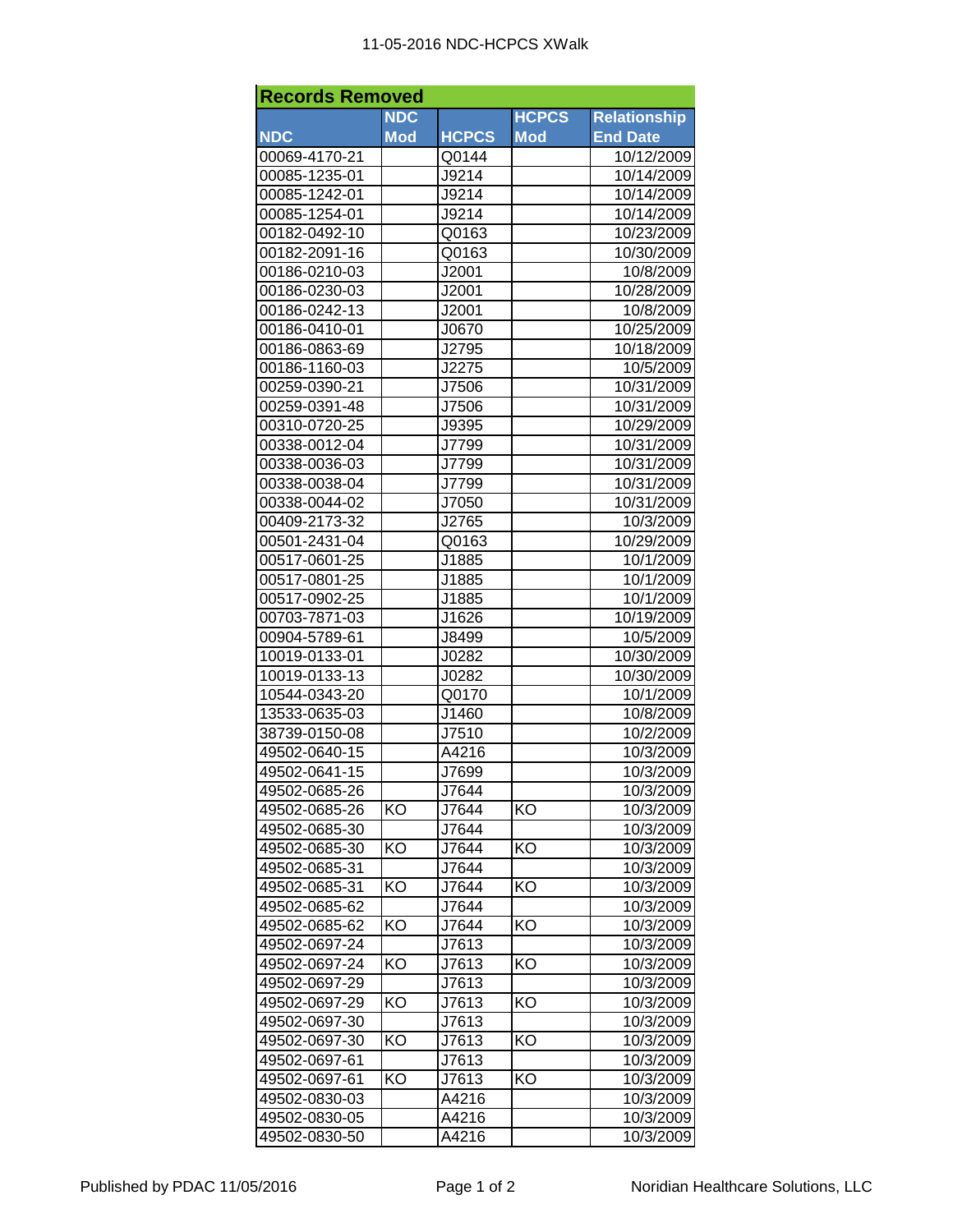| <b>Records Removed</b> |            |              |              |                     |  |  |  |  |
|------------------------|------------|--------------|--------------|---------------------|--|--|--|--|
|                        | <b>NDC</b> |              | <b>HCPCS</b> | <b>Relationship</b> |  |  |  |  |
| <b>NDC</b>             | <b>Mod</b> | <b>HCPCS</b> | <b>Mod</b>   | <b>End Date</b>     |  |  |  |  |
| 00069-4170-21          |            | Q0144        |              | 10/12/2009          |  |  |  |  |
| 00085-1235-01          |            | J9214        |              | 10/14/2009          |  |  |  |  |
| 00085-1242-01          |            | J9214        |              | 10/14/2009          |  |  |  |  |
| 00085-1254-01          |            | J9214        |              | 10/14/2009          |  |  |  |  |
| 00182-0492-10          |            | Q0163        |              | 10/23/2009          |  |  |  |  |
| 00182-2091-16          |            | Q0163        |              | 10/30/2009          |  |  |  |  |
| 00186-0210-03          |            | J2001        |              | 10/8/2009           |  |  |  |  |
| 00186-0230-03          |            | J2001        |              | 10/28/2009          |  |  |  |  |
| 00186-0242-13          |            | J2001        |              | 10/8/2009           |  |  |  |  |
| 00186-0410-01          |            | J0670        |              | 10/25/2009          |  |  |  |  |
| 00186-0863-69          |            | J2795        |              | 10/18/2009          |  |  |  |  |
| 00186-1160-03          |            | J2275        |              | 10/5/2009           |  |  |  |  |
| 00259-0390-21          |            | J7506        |              | 10/31/2009          |  |  |  |  |
| 00259-0391-48          |            | J7506        |              | 10/31/2009          |  |  |  |  |
| 00310-0720-25          |            | J9395        |              | 10/29/2009          |  |  |  |  |
| 00338-0012-04          |            | J7799        |              | 10/31/2009          |  |  |  |  |
| 00338-0036-03          |            | J7799        |              | 10/31/2009          |  |  |  |  |
| 00338-0038-04          |            | J7799        |              | 10/31/2009          |  |  |  |  |
| 00338-0044-02          |            | J7050        |              | 10/31/2009          |  |  |  |  |
| 00409-2173-32          |            | J2765        |              | 10/3/2009           |  |  |  |  |
| 00501-2431-04          |            | Q0163        |              | 10/29/2009          |  |  |  |  |
| 00517-0601-25          |            | J1885        |              | 10/1/2009           |  |  |  |  |
|                        |            |              |              | 10/1/2009           |  |  |  |  |
| 00517-0801-25          |            | J1885        |              |                     |  |  |  |  |
| 00517-0902-25          |            | J1885        |              | 10/1/2009           |  |  |  |  |
| 00703-7871-03          |            | J1626        |              | 10/19/2009          |  |  |  |  |
| 00904-5789-61          |            | J8499        |              | 10/5/2009           |  |  |  |  |
| 10019-0133-01          |            | J0282        |              | 10/30/2009          |  |  |  |  |
| 10019-0133-13          |            | J0282        |              | 10/30/2009          |  |  |  |  |
| 10544-0343-20          |            | Q0170        |              | 10/1/2009           |  |  |  |  |
| 13533-0635-03          |            | J1460        |              | 10/8/2009           |  |  |  |  |
| 38739-0150-08          |            | J7510        |              | 10/2/2009           |  |  |  |  |
| 49502-0640-15          |            | A4216        |              | 10/3/2009           |  |  |  |  |
| 49502-0641-15          |            | J7699        |              | 10/3/2009           |  |  |  |  |
| 49502-0685-26          |            | J7644        |              | 10/3/2009           |  |  |  |  |
| 49502-0685-26          | KO         | J7644        | KO           | 10/3/2009           |  |  |  |  |
| 49502-0685-30          |            | J7644        |              | 10/3/2009           |  |  |  |  |
| 49502-0685-30          | KO         | J7644        | KO           | 10/3/2009           |  |  |  |  |
| 49502-0685-31          |            | J7644        |              | 10/3/2009           |  |  |  |  |
| 49502-0685-31          | KO         | J7644        | KO           | 10/3/2009           |  |  |  |  |
| 49502-0685-62          |            | J7644        |              | 10/3/2009           |  |  |  |  |
| 49502-0685-62          | KO         | J7644        | KO           | 10/3/2009           |  |  |  |  |
| 49502-0697-24          |            | J7613        |              | 10/3/2009           |  |  |  |  |
| 49502-0697-24          | KO         | J7613        | KO           | 10/3/2009           |  |  |  |  |
| 49502-0697-29          |            | J7613        |              | 10/3/2009           |  |  |  |  |
| 49502-0697-29          | KO         | J7613        | KO           | 10/3/2009           |  |  |  |  |
| 49502-0697-30          |            | J7613        |              | 10/3/2009           |  |  |  |  |
| 49502-0697-30          | KO         | J7613        | KO           | 10/3/2009           |  |  |  |  |
| 49502-0697-61          |            | J7613        |              | 10/3/2009           |  |  |  |  |
| 49502-0697-61          | ΚO         | J7613        | ΚO           | 10/3/2009           |  |  |  |  |
| 49502-0830-03          |            | A4216        |              | 10/3/2009           |  |  |  |  |
| 49502-0830-05          |            | A4216        |              | 10/3/2009           |  |  |  |  |
| 49502-0830-50          |            | A4216        |              | 10/3/2009           |  |  |  |  |